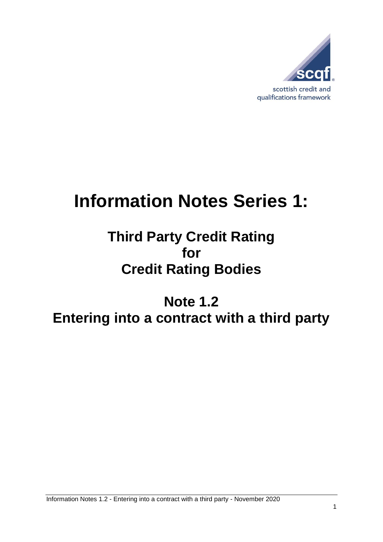

# **Information Notes Series 1:**

## **Third Party Credit Rating for Credit Rating Bodies**

# **Note 1.2 Entering into a contract with a third party**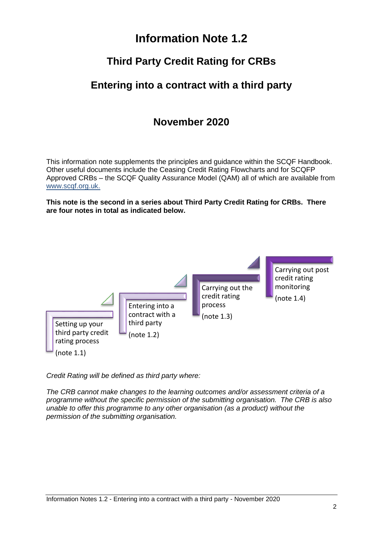### **Information Note 1.2**

#### **Third Party Credit Rating for CRBs**

#### **Entering into a contract with a third party**

#### **November 2020**

This information note supplements the principles and guidance within the SCQF Handbook. Other useful documents include the Ceasing Credit Rating Flowcharts and for SCQFP Approved CRBs – the SCQF Quality Assurance Model (QAM) all of which are available from [www.scqf.org.uk.](http://www.scqf.org.uk/)

**This note is the second in a series about Third Party Credit Rating for CRBs. There are four notes in total as indicated below.** 



*Credit Rating will be defined as third party where:*

*The CRB cannot make changes to the learning outcomes and/or assessment criteria of a programme without the specific permission of the submitting organisation. The CRB is also unable to offer this programme to any other organisation (as a product) without the permission of the submitting organisation.*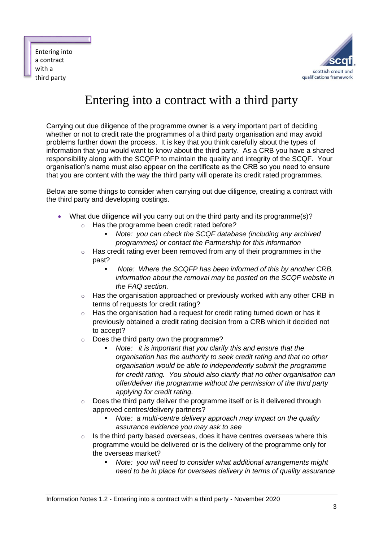Entering into a contract with a third party



### Entering into a contract with a third party

Carrying out due diligence of the programme owner is a very important part of deciding whether or not to credit rate the programmes of a third party organisation and may avoid problems further down the process. It is key that you think carefully about the types of information that you would want to know about the third party. As a CRB you have a shared responsibility along with the SCQFP to maintain the quality and integrity of the SCQF. Your organisation's name must also appear on the certificate as the CRB so you need to ensure that you are content with the way the third party will operate its credit rated programmes.

Below are some things to consider when carrying out due diligence, creating a contract with the third party and developing costings.

- What due diligence will you carry out on the third party and its programme(s)? o Has the programme been credit rated before*?* 
	- *Note: you can check the SCQF database (including any archived programmes) or contact the Partnership for this information*
	- $\circ$  Has credit rating ever been removed from any of their programmes in the past?
		- *Note: Where the SCQFP has been informed of this by another CRB, information about the removal may be posted on the SCQF website in the FAQ section.*
	- $\circ$  Has the organisation approached or previously worked with any other CRB in terms of requests for credit rating?
	- o Has the organisation had a request for credit rating turned down or has it previously obtained a credit rating decision from a CRB which it decided not to accept?
	- o Does the third party own the programme?
		- *Note: it is important that you clarify this and ensure that the organisation has the authority to seek credit rating and that no other organisation would be able to independently submit the programme for credit rating. You should also clarify that no other organisation can offer/deliver the programme without the permission of the third party applying for credit rating.*
	- o Does the third party deliver the programme itself or is it delivered through approved centres/delivery partners?
		- *Note: a multi-centre delivery approach may impact on the quality assurance evidence you may ask to see*
	- $\circ$  Is the third party based overseas, does it have centres overseas where this programme would be delivered or is the delivery of the programme only for the overseas market?
		- *Note: you will need to consider what additional arrangements might need to be in place for overseas delivery in terms of quality assurance*